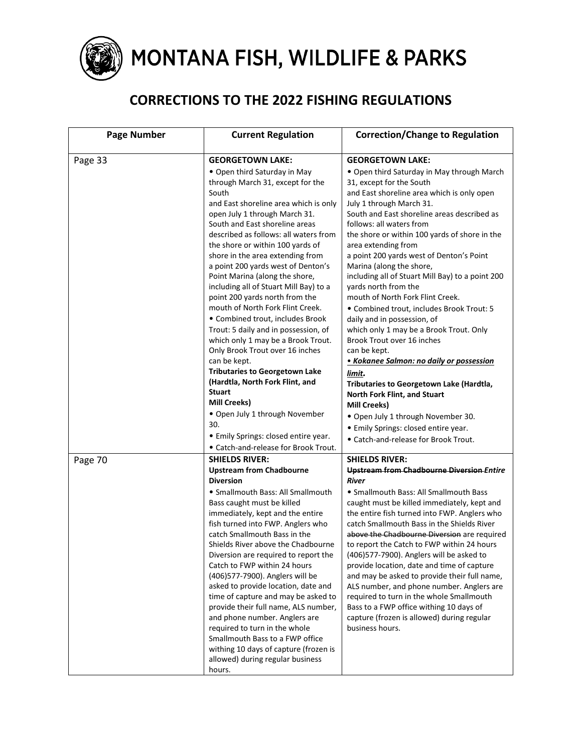

## MONTANA FISH, WILDLIFE & PARKS

## **CORRECTIONS TO THE 2022 FISHING REGULATIONS**

| <b>Page Number</b> | <b>Current Regulation</b>                                            | <b>Correction/Change to Regulation</b>                           |
|--------------------|----------------------------------------------------------------------|------------------------------------------------------------------|
|                    |                                                                      |                                                                  |
| Page 33            | <b>GEORGETOWN LAKE:</b>                                              | <b>GEORGETOWN LAKE:</b>                                          |
|                    | • Open third Saturday in May                                         | • Open third Saturday in May through March                       |
|                    | through March 31, except for the                                     | 31, except for the South                                         |
|                    | South                                                                | and East shoreline area which is only open                       |
|                    | and East shoreline area which is only                                | July 1 through March 31.                                         |
|                    | open July 1 through March 31.                                        | South and East shoreline areas described as                      |
|                    | South and East shoreline areas                                       | follows: all waters from                                         |
|                    | described as follows: all waters from                                | the shore or within 100 yards of shore in the                    |
|                    | the shore or within 100 yards of<br>shore in the area extending from | area extending from<br>a point 200 yards west of Denton's Point  |
|                    | a point 200 yards west of Denton's                                   | Marina (along the shore,                                         |
|                    | Point Marina (along the shore,                                       | including all of Stuart Mill Bay) to a point 200                 |
|                    | including all of Stuart Mill Bay) to a                               | yards north from the                                             |
|                    | point 200 yards north from the                                       | mouth of North Fork Flint Creek.                                 |
|                    | mouth of North Fork Flint Creek.                                     | · Combined trout, includes Brook Trout: 5                        |
|                    | • Combined trout, includes Brook                                     | daily and in possession, of                                      |
|                    | Trout: 5 daily and in possession, of                                 | which only 1 may be a Brook Trout. Only                          |
|                    | which only 1 may be a Brook Trout.                                   | Brook Trout over 16 inches                                       |
|                    | Only Brook Trout over 16 inches                                      | can be kept.                                                     |
|                    | can be kept.                                                         | • Kokanee Salmon: no daily or possession                         |
|                    | <b>Tributaries to Georgetown Lake</b>                                | limit.                                                           |
|                    | (Hardtla, North Fork Flint, and                                      | Tributaries to Georgetown Lake (Hardtla,                         |
|                    | <b>Stuart</b>                                                        | North Fork Flint, and Stuart                                     |
|                    | <b>Mill Creeks)</b>                                                  | <b>Mill Creeks)</b>                                              |
|                    | • Open July 1 through November                                       | . Open July 1 through November 30.                               |
|                    | 30.                                                                  | • Emily Springs: closed entire year.                             |
|                    | • Emily Springs: closed entire year.                                 | • Catch-and-release for Brook Trout.                             |
|                    | • Catch-and-release for Brook Trout.                                 |                                                                  |
| Page 70            | <b>SHIELDS RIVER:</b>                                                | <b>SHIELDS RIVER:</b>                                            |
|                    | <b>Upstream from Chadbourne</b><br><b>Diversion</b>                  | <b>Upstream from Chadbourne Diversion Entire</b><br><b>River</b> |
|                    | • Smallmouth Bass: All Smallmouth                                    | • Smallmouth Bass: All Smallmouth Bass                           |
|                    | Bass caught must be killed                                           | caught must be killed immediately, kept and                      |
|                    | immediately, kept and the entire                                     | the entire fish turned into FWP. Anglers who                     |
|                    | fish turned into FWP. Anglers who                                    | catch Smallmouth Bass in the Shields River                       |
|                    | catch Smallmouth Bass in the                                         | above the Chadbourne Diversion are required                      |
|                    | Shields River above the Chadbourne                                   | to report the Catch to FWP within 24 hours                       |
|                    | Diversion are required to report the                                 | (406) 577-7900). Anglers will be asked to                        |
|                    | Catch to FWP within 24 hours                                         | provide location, date and time of capture                       |
|                    | (406)577-7900). Anglers will be                                      | and may be asked to provide their full name,                     |
|                    | asked to provide location, date and                                  | ALS number, and phone number. Anglers are                        |
|                    | time of capture and may be asked to                                  | required to turn in the whole Smallmouth                         |
|                    | provide their full name, ALS number,                                 | Bass to a FWP office withing 10 days of                          |
|                    | and phone number. Anglers are                                        | capture (frozen is allowed) during regular                       |
|                    | required to turn in the whole<br>Smallmouth Bass to a FWP office     | business hours.                                                  |
|                    | withing 10 days of capture (frozen is                                |                                                                  |
|                    | allowed) during regular business                                     |                                                                  |
|                    | hours.                                                               |                                                                  |
|                    |                                                                      |                                                                  |